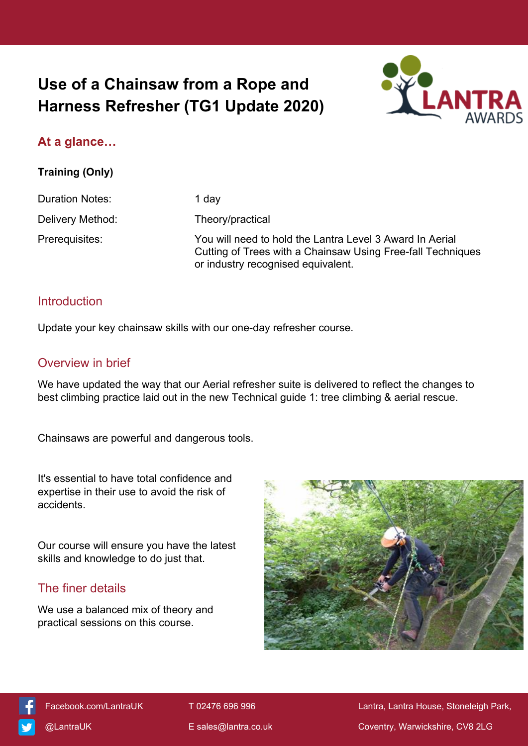# **Use of a Chainsaw from a Rope and Harness Refresher (TG1 Update 2020)**



# **At a glance…**

**Training (Only)**

Duration Notes: 1 day

Delivery Method: Theory/practical

Prerequisites: You will need to hold the Lantra Level 3 Award In Aerial Cutting of Trees with a Chainsaw Using Free-fall Techniques

## **Introduction**

Update your key chainsaw skills with our one-day refresher course.

#### Overview in brief

We have updated the way that our Aerial refresher suite is delivered to reflect the changes to best climbing practice laid out in the new Technical guide 1: tree climbing & aerial rescue.

or industry recognised equivalent.

Chainsaws are powerful and dangerous tools.

It's essential to have total confidence and expertise in their use to avoid the risk of accidents.

Our course will ensure you have the latest skills and knowledge to do just that.

# The finer details

We use a balanced mix of theory and practical sessions on this course.





[Facebook.com/LantraUK](https://www.facebook.com/LantraUK/) T 02476 696 996 Lantra, Lantra, Lantra House, Stoneleigh Park, [@LantraUK](http://www.twitter.com/lantrauk) E [sales@lantra.co.uk](mailto:sales@lantra.co.uk) Coventry, Warwickshire, CV8 2LG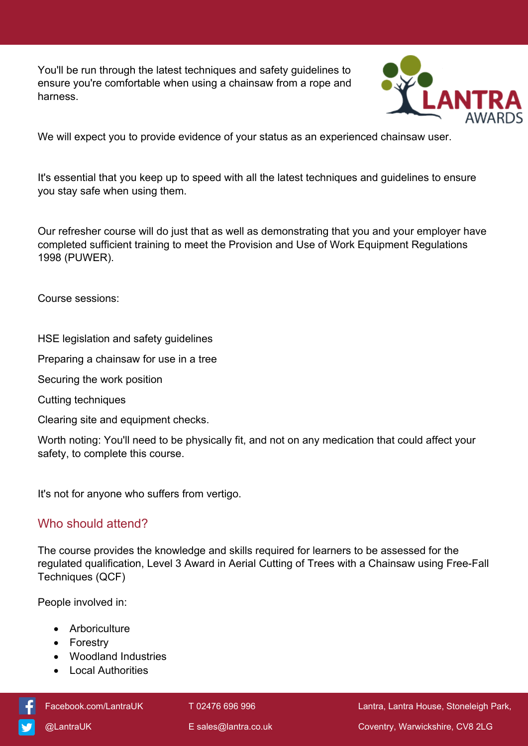You'll be run through the latest techniques and safety guidelines to ensure you're comfortable when using a chainsaw from a rope and harness.



We will expect you to provide evidence of your status as an experienced chainsaw user.

It's essential that you keep up to speed with all the latest techniques and guidelines to ensure you stay safe when using them.

Our refresher course will do just that as well as demonstrating that you and your employer have completed sufficient training to meet the Provision and Use of Work Equipment Regulations 1998 (PUWER).

Course sessions:

HSE legislation and safety guidelines

Preparing a chainsaw for use in a tree

- Securing the work position
- Cutting techniques

Clearing site and equipment checks.

Worth noting: You'll need to be physically fit, and not on any medication that could affect your safety, to complete this course.

It's not for anyone who suffers from vertigo.

### Who should attend?

The course provides the knowledge and skills required for learners to be assessed for the regulated qualification, Level 3 Award in Aerial Cutting of Trees with a Chainsaw using Free-Fall Techniques (QCF)

People involved in:

- Arboriculture
- Forestry
- Woodland Industries
- Local Authorities

 [Facebook.com/LantraUK](https://www.facebook.com/LantraUK/) T 02476 696 996 Lantra, Lantra House, Stoneleigh Park, [@LantraUK](http://www.twitter.com/lantrauk) E [sales@lantra.co.uk](mailto:sales@lantra.co.uk) Coventry, Warwickshire, CV8 2LG